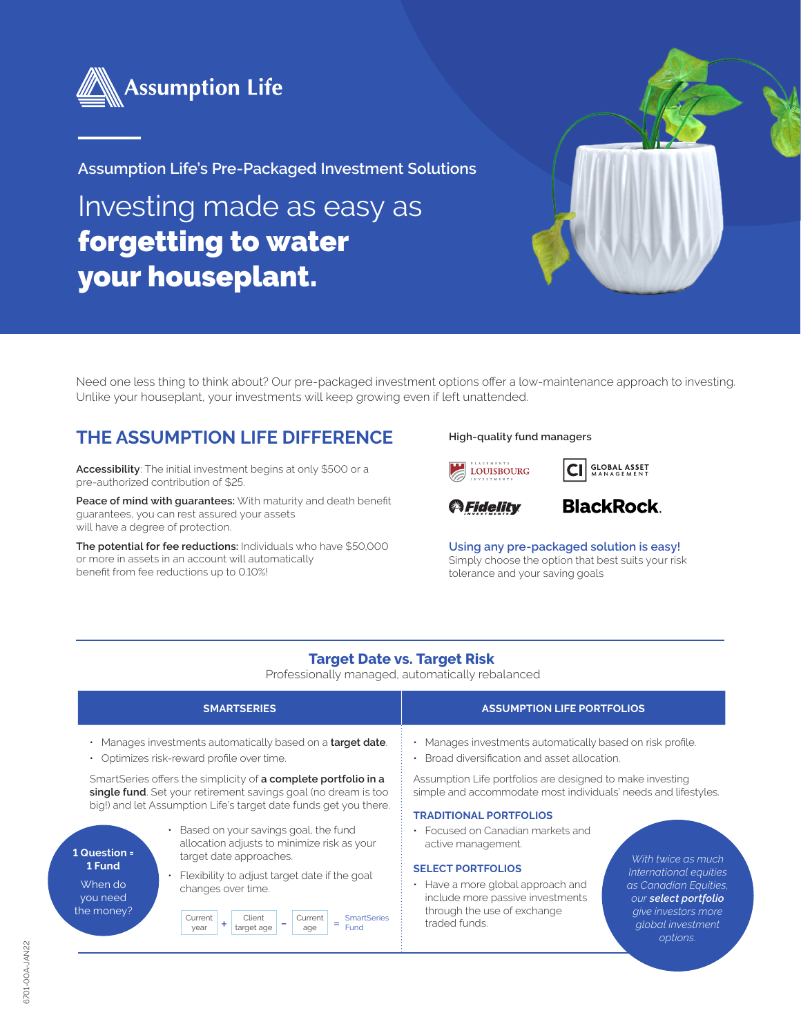

**Assumption Life's Pre-Packaged Investment Solutions**

Investing made as easy as forgetting to water your houseplant.



Need one less thing to think about? Our pre-packaged investment options offer a low-maintenance approach to investing. Unlike your houseplant, your investments will keep growing even if left unattended.

## **THE ASSUMPTION LIFE DIFFERENCE**

**Accessibility**: The initial investment begins at only \$500 or a pre-authorized contribution of \$25.

**Peace of mind with guarantees:** With maturity and death benefit guarantees, you can rest assured your assets will have a degree of protection.

**The potential for fee reductions:** Individuals who have \$50,000 or more in assets in an account will automatically benefit from fee reductions up to 0.10%!

#### **High-quality fund managers**







#### **BlackRock**

*options.*

**Using any pre-packaged solution is easy!**  Simply choose the option that best suits your risk tolerance and your saving goals

#### **Target Date vs. Target Risk**

Professionally managed, automatically rebalanced

|                                                                                                                                                                                                      | <b>SMARTSERIES</b>                                                                                                                                                  | <b>ASSUMPTION LIFE PORTFOLIOS</b>                                                                                                                                                                                                                                        |
|------------------------------------------------------------------------------------------------------------------------------------------------------------------------------------------------------|---------------------------------------------------------------------------------------------------------------------------------------------------------------------|--------------------------------------------------------------------------------------------------------------------------------------------------------------------------------------------------------------------------------------------------------------------------|
| • Manages investments automatically based on a <b>target date</b> .<br>Optimizes risk-reward profile over time.                                                                                      |                                                                                                                                                                     | • Manages investments automatically based on risk profile.<br>Broad diversification and asset allocation.                                                                                                                                                                |
| SmartSeries offers the simplicity of a complete portfolio in a<br>single fund. Set your retirement savings goal (no dream is too<br>big!) and let Assumption Life's target date funds get you there. |                                                                                                                                                                     | Assumption Life portfolios are designed to make investing<br>simple and accommodate most individuals' needs and lifestyles.<br><b>TRADITIONAL PORTFOLIOS</b>                                                                                                             |
| 1 Question =<br>1 Fund<br>When do<br>you need<br>the money?                                                                                                                                          | Based on your savings goal, the fund<br>allocation adjusts to minimize risk as your<br>target date approaches.                                                      | • Focused on Canadian markets and<br>active management.<br>With twice as much                                                                                                                                                                                            |
|                                                                                                                                                                                                      | Flexibility to adjust target date if the goal<br>changes over time.<br><b>SmartSeries</b><br>Current<br>Current<br>Client<br>Ξ<br>target age<br>Fund<br>vear<br>age | <b>SELECT PORTFOLIOS</b><br>International equities<br>• Have a more global approach and<br>as Canadian Equities.<br>include more passive investments<br>our select portfolio<br>through the use of exchange<br>give investors more<br>traded funds.<br>global investment |